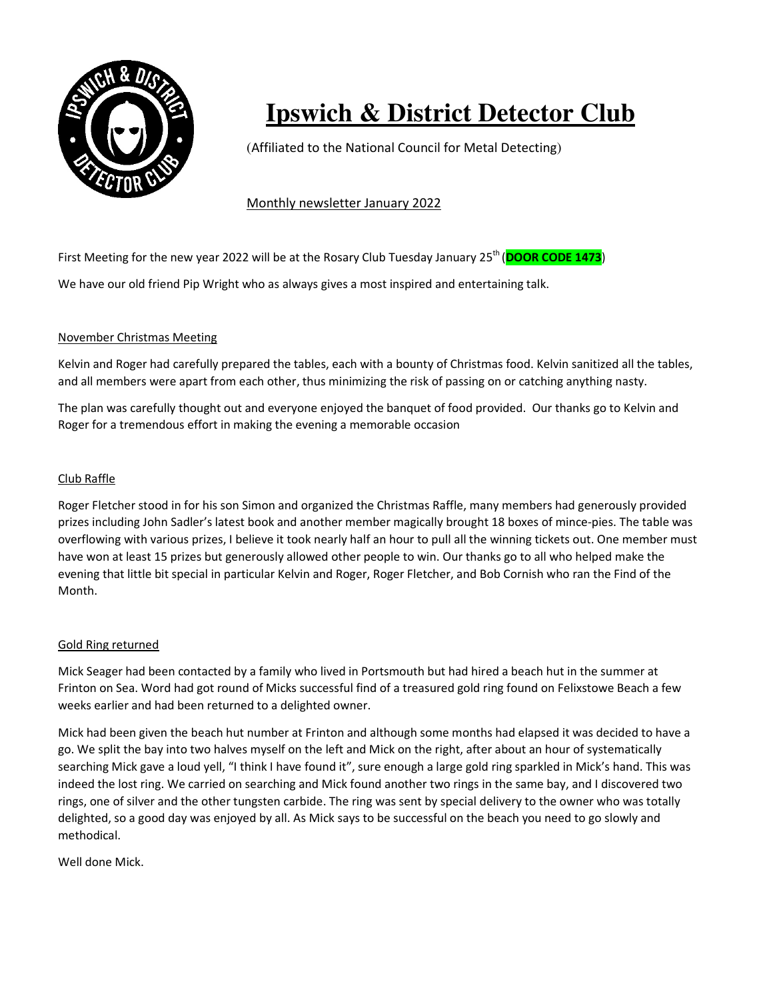

# **Ipswich & District Detector Club**

(Affiliated to the National Council for Metal Detecting)

Monthly newsletter January 2022

First Meeting for the new year 2022 will be at the Rosary Club Tuesday January 25<sup>th</sup> (**DOOR CODE 1473**) We have our old friend Pip Wright who as always gives a most inspired and entertaining talk.

## November Christmas Meeting

Kelvin and Roger had carefully prepared the tables, each with a bounty of Christmas food. Kelvin sanitized all the tables, and all members were apart from each other, thus minimizing the risk of passing on or catching anything nasty.

The plan was carefully thought out and everyone enjoyed the banquet of food provided. Our thanks go to Kelvin and Roger for a tremendous effort in making the evening a memorable occasion

### Club Raffle

Roger Fletcher stood in for his son Simon and organized the Christmas Raffle, many members had generously provided prizes including John Sadler's latest book and another member magically brought 18 boxes of mince-pies. The table was overflowing with various prizes, I believe it took nearly half an hour to pull all the winning tickets out. One member must have won at least 15 prizes but generously allowed other people to win. Our thanks go to all who helped make the evening that little bit special in particular Kelvin and Roger, Roger Fletcher, and Bob Cornish who ran the Find of the Month.

## Gold Ring returned

Mick Seager had been contacted by a family who lived in Portsmouth but had hired a beach hut in the summer at Frinton on Sea. Word had got round of Micks successful find of a treasured gold ring found on Felixstowe Beach a few weeks earlier and had been returned to a delighted owner.

Mick had been given the beach hut number at Frinton and although some months had elapsed it was decided to have a go. We split the bay into two halves myself on the left and Mick on the right, after about an hour of systematically searching Mick gave a loud yell, "I think I have found it", sure enough a large gold ring sparkled in Mick's hand. This was indeed the lost ring. We carried on searching and Mick found another two rings in the same bay, and I discovered two rings, one of silver and the other tungsten carbide. The ring was sent by special delivery to the owner who was totally delighted, so a good day was enjoyed by all. As Mick says to be successful on the beach you need to go slowly and methodical.

Well done Mick.